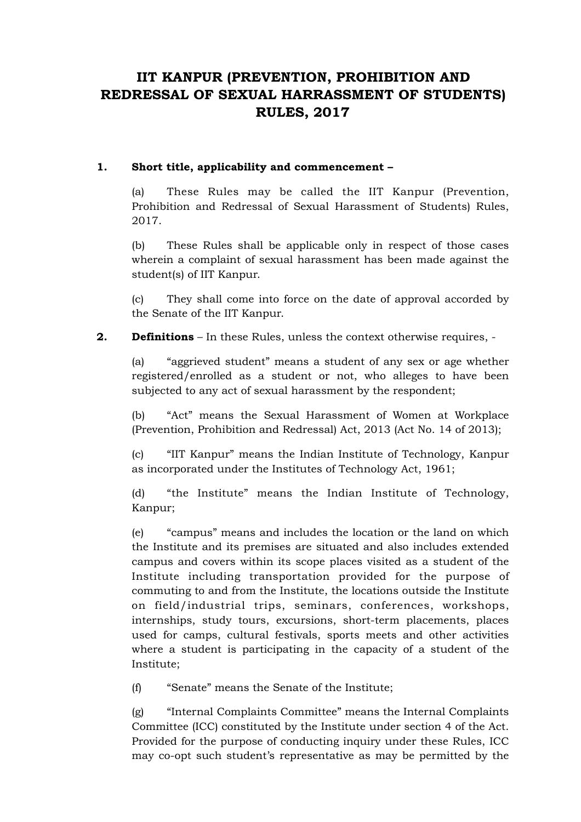# **IIT KANPUR (PREVENTION, PROHIBITION AND REDRESSAL OF SEXUAL HARRASSMENT OF STUDENTS) RULES, 2017**

### **1. Short title, applicability and commencement –**

(a) These Rules may be called the IIT Kanpur (Prevention, Prohibition and Redressal of Sexual Harassment of Students) Rules, 2017.

(b) These Rules shall be applicable only in respect of those cases wherein a complaint of sexual harassment has been made against the student(s) of IIT Kanpur.

(c) They shall come into force on the date of approval accorded by the Senate of the IIT Kanpur.

## **2. Definitions** – In these Rules, unless the context otherwise requires, -

(a) "aggrieved student" means a student of any sex or age whether registered/enrolled as a student or not, who alleges to have been subjected to any act of sexual harassment by the respondent;

(b) "Act" means the Sexual Harassment of Women at Workplace (Prevention, Prohibition and Redressal) Act, 2013 (Act No. 14 of 2013);

(c) "IIT Kanpur" means the Indian Institute of Technology, Kanpur as incorporated under the Institutes of Technology Act, 1961;

(d) "the Institute" means the Indian Institute of Technology, Kanpur;

(e) "campus" means and includes the location or the land on which the Institute and its premises are situated and also includes extended campus and covers within its scope places visited as a student of the Institute including transportation provided for the purpose of commuting to and from the Institute, the locations outside the Institute on field/industrial trips, seminars, conferences, workshops, internships, study tours, excursions, short-term placements, places used for camps, cultural festivals, sports meets and other activities where a student is participating in the capacity of a student of the Institute;

(f) "Senate" means the Senate of the Institute;

(g) "Internal Complaints Committee" means the Internal Complaints Committee (ICC) constituted by the Institute under section 4 of the Act. Provided for the purpose of conducting inquiry under these Rules, ICC may co-opt such student's representative as may be permitted by the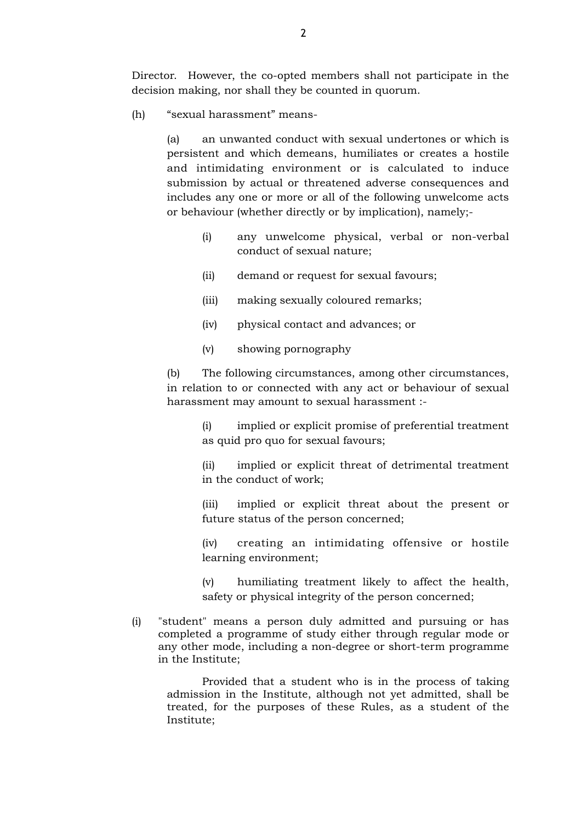Director. However, the co-opted members shall not participate in the decision making, nor shall they be counted in quorum.

(h) "sexual harassment" means-

(a) an unwanted conduct with sexual undertones or which is persistent and which demeans, humiliates or creates a hostile and intimidating environment or is calculated to induce submission by actual or threatened adverse consequences and includes any one or more or all of the following unwelcome acts or behaviour (whether directly or by implication), namely;-

- (i) any unwelcome physical, verbal or non-verbal conduct of sexual nature;
- (ii) demand or request for sexual favours;
- (iii) making sexually coloured remarks;
- (iv) physical contact and advances; or
- (v) showing pornography

(b) The following circumstances, among other circumstances, in relation to or connected with any act or behaviour of sexual harassment may amount to sexual harassment :-

> (i) implied or explicit promise of preferential treatment as quid pro quo for sexual favours;

> (ii) implied or explicit threat of detrimental treatment in the conduct of work;

> (iii) implied or explicit threat about the present or future status of the person concerned;

> (iv) creating an intimidating offensive or hostile learning environment;

> (v) humiliating treatment likely to affect the health, safety or physical integrity of the person concerned;

(i) "student" means a person duly admitted and pursuing or has completed a programme of study either through regular mode or any other mode, including a non-degree or short-term programme in the Institute;

Provided that a student who is in the process of taking admission in the Institute, although not yet admitted, shall be treated, for the purposes of these Rules, as a student of the Institute;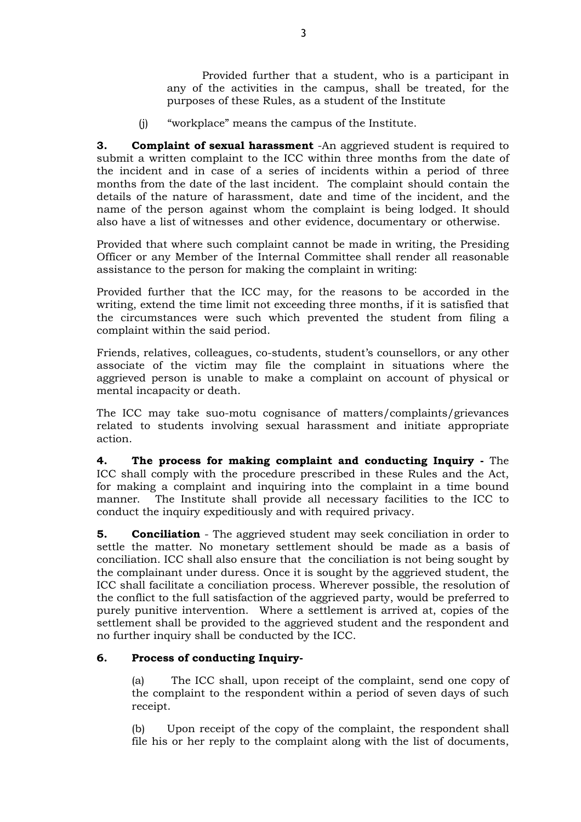Provided further that a student, who is a participant in any of the activities in the campus, shall be treated, for the purposes of these Rules, as a student of the Institute

(j) "workplace" means the campus of the Institute.

**3. Complaint of sexual harassment** -An aggrieved student is required to submit a written complaint to the ICC within three months from the date of the incident and in case of a series of incidents within a period of three months from the date of the last incident. The complaint should contain the details of the nature of harassment, date and time of the incident, and the name of the person against whom the complaint is being lodged. It should also have a list of witnesses and other evidence, documentary or otherwise.

Provided that where such complaint cannot be made in writing, the Presiding Officer or any Member of the Internal Committee shall render all reasonable assistance to the person for making the complaint in writing:

Provided further that the ICC may, for the reasons to be accorded in the writing, extend the time limit not exceeding three months, if it is satisfied that the circumstances were such which prevented the student from filing a complaint within the said period.

Friends, relatives, colleagues, co-students, student's counsellors, or any other associate of the victim may file the complaint in situations where the aggrieved person is unable to make a complaint on account of physical or mental incapacity or death.

The ICC may take suo-motu cognisance of matters/complaints/grievances related to students involving sexual harassment and initiate appropriate action.

**4. The process for making complaint and conducting Inquiry -** The ICC shall comply with the procedure prescribed in these Rules and the Act, for making a complaint and inquiring into the complaint in a time bound manner. The Institute shall provide all necessary facilities to the ICC to conduct the inquiry expeditiously and with required privacy.

**5. Conciliation** - The aggrieved student may seek conciliation in order to settle the matter. No monetary settlement should be made as a basis of conciliation. ICC shall also ensure that the conciliation is not being sought by the complainant under duress. Once it is sought by the aggrieved student, the ICC shall facilitate a conciliation process. Wherever possible, the resolution of the conflict to the full satisfaction of the aggrieved party, would be preferred to purely punitive intervention. Where a settlement is arrived at, copies of the settlement shall be provided to the aggrieved student and the respondent and no further inquiry shall be conducted by the ICC.

## **6. Process of conducting Inquiry-**

(a) The ICC shall, upon receipt of the complaint, send one copy of the complaint to the respondent within a period of seven days of such receipt.

(b) Upon receipt of the copy of the complaint, the respondent shall file his or her reply to the complaint along with the list of documents,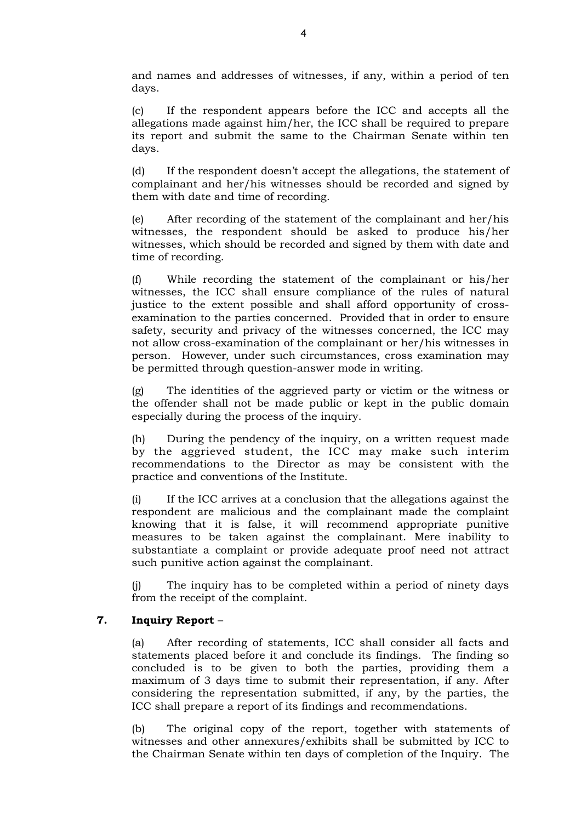and names and addresses of witnesses, if any, within a period of ten days.

(c) If the respondent appears before the ICC and accepts all the allegations made against him/her, the ICC shall be required to prepare its report and submit the same to the Chairman Senate within ten days.

(d) If the respondent doesn't accept the allegations, the statement of complainant and her/his witnesses should be recorded and signed by them with date and time of recording.

(e) After recording of the statement of the complainant and her/his witnesses, the respondent should be asked to produce his/her witnesses, which should be recorded and signed by them with date and time of recording.

(f) While recording the statement of the complainant or his/her witnesses, the ICC shall ensure compliance of the rules of natural justice to the extent possible and shall afford opportunity of crossexamination to the parties concerned. Provided that in order to ensure safety, security and privacy of the witnesses concerned, the ICC may not allow cross-examination of the complainant or her/his witnesses in person. However, under such circumstances, cross examination may be permitted through question-answer mode in writing.

(g) The identities of the aggrieved party or victim or the witness or the offender shall not be made public or kept in the public domain especially during the process of the inquiry.

(h) During the pendency of the inquiry, on a written request made by the aggrieved student, the ICC may make such interim recommendations to the Director as may be consistent with the practice and conventions of the Institute.

(i) If the ICC arrives at a conclusion that the allegations against the respondent are malicious and the complainant made the complaint knowing that it is false, it will recommend appropriate punitive measures to be taken against the complainant. Mere inability to substantiate a complaint or provide adequate proof need not attract such punitive action against the complainant.

(j) The inquiry has to be completed within a period of ninety days from the receipt of the complaint.

#### **7. Inquiry Report** –

(a) After recording of statements, ICC shall consider all facts and statements placed before it and conclude its findings. The finding so concluded is to be given to both the parties, providing them a maximum of 3 days time to submit their representation, if any. After considering the representation submitted, if any, by the parties, the ICC shall prepare a report of its findings and recommendations.

(b) The original copy of the report, together with statements of witnesses and other annexures/exhibits shall be submitted by ICC to the Chairman Senate within ten days of completion of the Inquiry. The